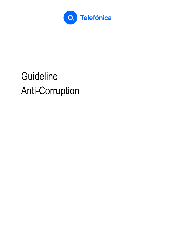

# **Guideline** Anti-Corruption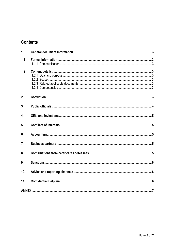## **Contents**

| 1.               |  |
|------------------|--|
| 1.1              |  |
| 1.2              |  |
| 2.               |  |
| 3.               |  |
| $\overline{4}$ . |  |
| 5 <sub>1</sub>   |  |
| 6.               |  |
| 7.               |  |
| 8.               |  |
| 9.               |  |
| 10.              |  |
| 11.              |  |
|                  |  |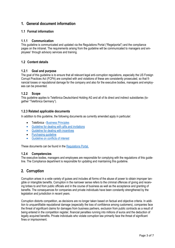## **1. General document information**

#### **1.1 Formal information**

#### **1.1.1 Communication**

This guideline is communicated and updated via the Regulations Portal ("Regelportal") and the compliance pages on the intranet. The requirements arising from the guideline will be communicated to managers and employees<sup>1</sup> through advisory services and training.

#### **1.2 Content details**

#### **1.2.1 Goal and purpose**

The goal of this guideline is to ensure that all relevant legal anti-corruption regulations, especially the US Foreign Corrupt Practices Act (FCPA) are complied with and violations of these are consistently prosecuted, so that financial losses or reputational damage for the company and also for the executive bodies, managers and employees can be prevented.

#### **1.2.2 Scope**

This guideline applies to Telefónica Deutschland Holding AG and all of its direct and indirect subsidiaries (together "Telefónica Germany").

#### **1.2.3 Related applicable documents**

In addition to this guideline, the following documents as currently amended apply in particular:

- Telefónica [Business Principles](https://telefonicacorp.sharepoint.com/:b:/s/Regelportal.TMENQ/Echkj_z9znZKrcKGX790TPYBjM9I5Ty6yJgK529ajDXkPQ?e=44zeYC)
- [Guideline for dealing with gifts and invitations](https://telefonicacorp.sharepoint.com/:w:/s/Regelportal.TMENQ/EeLkNLx6Or5EhXTNv7OZfVgBJSQAiuw1sk-13lamP_uhcA?e=c7wySS)
- [Guideline for dealing with incentives](https://telefonicacorp.sharepoint.com/:w:/s/Regelportal.TMENQ/EQXcilgSzkJOrj6Tc59xHKEBsswaY97UiLMqPy761rloPA?e=qNF6Yk)
- Purchasing quideline
- [Guideline on conflicts of interest](https://telefonicacorp.sharepoint.com/:w:/s/Regelportal.TMENQ/EfsSA5O64Z9BrmQX5YlZs8UBawtGkcK_v_w0BACV1-p0Vg?e=rDWuUh)

These documents can be found in th[e Regulations Portal.](https://telefonicacorp.sharepoint.com/sites/Regelportal.TMENQ/Dokumente-Neu/Forms/Alle%20Regeln.aspx?sortField=Dokumenteneigent%5Fx00fc%5Fmer&isAscending=true&viewid=1459e3fe%2Dc1ec%2D491c%2D8463%2D5cf0aa225e84&id=%2Fsites%2FRegelportal%2ETMENQ%2FDokumente%2DNeu)

#### **1.2.4 Competencies**

The executive bodies, managers and employees are responsible for complying with the regulations of this guideline. The Compliance department is responsible for updating and maintaining this guideline.

### **2. Corruption**

Corruption arises in a wide variety of guises and includes all forms of the abuse of power to obtain improper tangible or intangible benefits. Corruption in the narrower sense refers to the criminal offences of giving and receiving bribes to and from public officials and in the course of business as well as the acceptance and granting of benefits. The consequences for companies and private individuals have been constantly strengthened by the legislation and jurisdiction in recent years.

Corruption distorts competition, as decisions are no longer taken based on factual and objective criteria. In addition to unquantifiable reputational damage (especially the loss of confidence among customers), companies face the threat of significant claims for damages from business partners, exclusion from public contracts as a result of being entered in the competition register, financial penalties running into millions of euros and the deduction of legally acquired benefits. Private individuals who violate corruption law primarily face the threat of significant fines or imprisonment.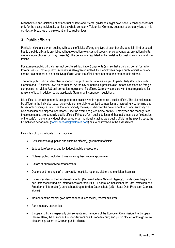Misbehaviour and violations of anti-corruption laws and internal guidelines might have serious consequences not only for the acting individuals, but for the whole company. Telefónica Germany does not tolerate any kind of misconduct or breaches of the relevant anti-corruption laws.

## **3. Public officials**

Particular risks arise when dealing with public officials: offering any type of cash benefit, benefit in kind or securities to a public official is prohibited without exception (e.g. cash, discounts, price advantages, promotional gifts, use of mobile phones, birthday presents). The details are regulated in the guideline for dealing with gifts and invitations.

For example, public officials may not be offered (facilitation) payments (e.g. so that a building permit for radio towers is issued more quickly). A benefit is also granted unlawfully is employees help a public official to be accepted as a member of an exclusive golf club when the official does not meet the membership criteria.

The term "public official" describes a specific group of people, who are subject to particularly strict rules under German and US criminal laws on corruption. As the US authorities in practice also impose sanctions on foreign companies that violate US anti-corruption regulations, Telefónica Germany complies with these regulations for reasons of fact, in addition to the applicable German anti-corruption regulations.

It is difficult to state in generally accepted terms exactly who is regarded as a public official. The distinction can be difficult in the individual case, as private commercially organised companies are increasingly performing public sector functions, i.e. functions that are typically the responsibility of the government (e.g. local authority rubbish collection and disposal operations – see the examples given below on this). Employees and managers of these companies are generally public officials if they perform public duties and thus act almost as an "extension of the state". If there is any doubt about whether an individual is acting as a public official in the specific case, the Compliance department [\(compliance-de@telefonica.com\)](mailto:compliance-de@telefonica.com) has to be involved in the assessment.

#### Examples of public officials (not exhaustive):

- Civil servants (e.g. police and customs officers), government officials
- Judges (professional and lay judges), public prosecutors
- Notaries public, including those awaiting their lifetime appointment
- Editors at public service broadcasters
- Doctors and nursing staff at university hospitals, regional, district and municipal hospitals
- (Vice) president of the Bundesnetzagentur (German Federal Network Agency), Bundesbeauftragte für den Datenschutz und die Informationssicherheit (BfDi – Federal Commissioner for Data Protection and Freedom of Information), Landesbeauftragte für den Datenschutz (LfD – State Data Protection Commissioner)
- Members of the federal government (federal chancellor, federal minister)
- Parliamentary secretaries
- European officials (especially civil servants and members of the European Commission, the European Central Bank, the European Court of Auditors or a European court) and public officials of foreign countries are equivalent to German public officials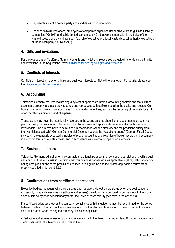- Representatives of a political party and candidates for political office
- Under certain circumstances, employees of companies organised under private law (e.g. limited liability companies ("GmbH") and public limited companies ("AG") that work in particular in the fields of the waste disposal, energy and transport (e.g. chief executive of a local waste disposal authority, executives of the rail company "DB Netz AG")

## **4. Gifts and invitations**

For the regulations of Telefónica Germany on gifts and invitations, please see the guideline for dealing with gifts and invitations in the Regulations Portal: Guideline for dealing with gifts and invitations.

## **5. Conflicts of Interests**

Conflicts of interest arise when private and business interests conflict with one another. For details, please see the [Guideline Conflicts of Interests.](http://sharepoint-apps.de.pri.o2.com/sites/CDC/Regelportal/_layouts/15/DocIdRedir.aspx?ID=P25SWPEC62R5-5-1881)

## **6. Accounting**

Telefónica Germany requires maintaining a system of appropriate internal accounting controls and that all transactions are properly and accurately reported and reproduced with sufficient detail in the books and records. Our books may not contain any false or misleading information or entries, such as the recording of the costs for a gift or an invitation as different kind of expense.

Transactions may never be intentionally recorded in the wrong balance sheet items, departments or reporting periods. Every transaction must be underpinned by accurate and appropriate documentation with a sufficient level of detail. Documents have to be retained in accordance with the statutory and tax provisions arising from the "Handelsgesetzbuch" (German Commercial Code, ten years), the "Abgabenordnung" (German Fiscal Code, six years), the generally accepted principles of proper accounting and retention of books, records and documents in electronic form and of data access, and in accordance with internal company requirements.

## **7. Business partners**

Telefónica Germany will not enter into contractual relationships or commence a business relationship with a business partner if there is a risk in its opinion that this business partner violates applicable legal regulations for combating corruption or one of the prohibitions defined in this guideline and the related applicable documents expressly specified under point 1.2.3.

## **8. Confirmations from certificate addressees**

Executive bodies, managers with Valora status and managers without Valora status who have cost centre responsibility for specific risk areas (certificate addressees) have to confirm personally compliance with the provisions of this policy once per calendar year for their area of responsibility (see form in the appendix).

If a certificate addressee leaves the company, compliance with this guideline must be reconfirmed for the period between the last submission of the above-mentioned confirmation and termination of the employment relationship, at the latest when leaving the company. This also applies to

- Certificate addressees whose employment relationship with the Telefónica Deutschland Group ends when their employer leaves the Telefónica Deutschland Group.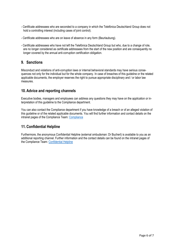- Certificate addressees who are seconded to a company in which the Telefónica Deutschland Group does not hold a controlling interest (including cases of joint control).
- Certificate addressees who are on leave of absence in any form (Beurlaubung).
- Certificate addressees who have not left the Telefónica Deutschland Group but who, due to a change of role, are no longer considered as certificate addressees from the start of the new position and are consequently no longer covered by the annual anti-corruption certification obligation.

## **9. Sanctions**

Misconduct and violations of anti-corruption laws or internal behavioral standards may have serious consequences not only for the individual but for the whole company. In case of breaches of this guideline or the related applicable documents, the employer reserves the right to pursue appropriate disciplinary and / or labor law measures.

## **10. Advice and reporting channels**

Executive bodies, managers and employees can address any questions they may have on the application or interpretation of this guideline to the Compliance department.

You can also contact the Compliance department if you have knowledge of a breach or of an alleged violation of this guideline or of the related applicable documents. You will find further information and contact details on the intranet pages of the Compliance Team: [Compliance](http://newintranet.de.telefonica/compliance-data-protection-corporate-security-healthmanagement/compliance.html)

## **11. Confidential Helpline**

Furthermore, the anonymous Confidential Helpline (external ombudsman: Dr Buchert) is available to you as an additional reporting channel. Further information and the contact details can be found on the intranet pages of the Compliance Team: [Confidential Helpline](https://newintranet.de.telefonica/compliance-data-protection-corporate-security-healthmanagement/compliance/confidential-helpline.html)